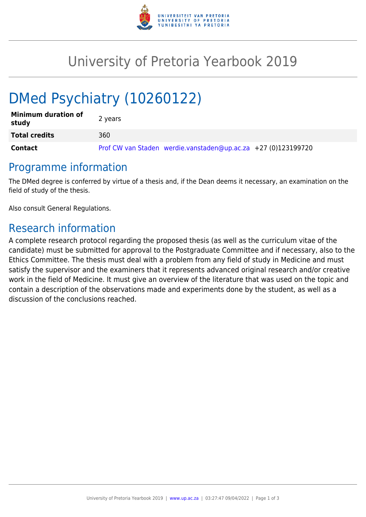

## University of Pretoria Yearbook 2019

# DMed Psychiatry (10260122)

| <b>Minimum duration of</b><br>study | 2 years                                                       |
|-------------------------------------|---------------------------------------------------------------|
| <b>Total credits</b>                | 360                                                           |
| <b>Contact</b>                      | Prof CW van Staden werdie.vanstaden@up.ac.za +27 (0)123199720 |

## Programme information

The DMed degree is conferred by virtue of a thesis and, if the Dean deems it necessary, an examination on the field of study of the thesis.

Also consult General Regulations.

## Research information

A complete research protocol regarding the proposed thesis (as well as the curriculum vitae of the candidate) must be submitted for approval to the Postgraduate Committee and if necessary, also to the Ethics Committee. The thesis must deal with a problem from any field of study in Medicine and must satisfy the supervisor and the examiners that it represents advanced original research and/or creative work in the field of Medicine. It must give an overview of the literature that was used on the topic and contain a description of the observations made and experiments done by the student, as well as a discussion of the conclusions reached.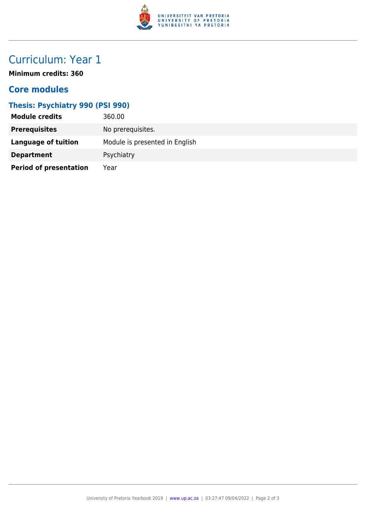

## Curriculum: Year 1

**Minimum credits: 360**

#### **Core modules**

#### **Thesis: Psychiatry 990 (PSI 990)**

| <b>Module credits</b>         | 360.00                         |
|-------------------------------|--------------------------------|
| <b>Prerequisites</b>          | No prerequisites.              |
| <b>Language of tuition</b>    | Module is presented in English |
| <b>Department</b>             | Psychiatry                     |
| <b>Period of presentation</b> | Year                           |